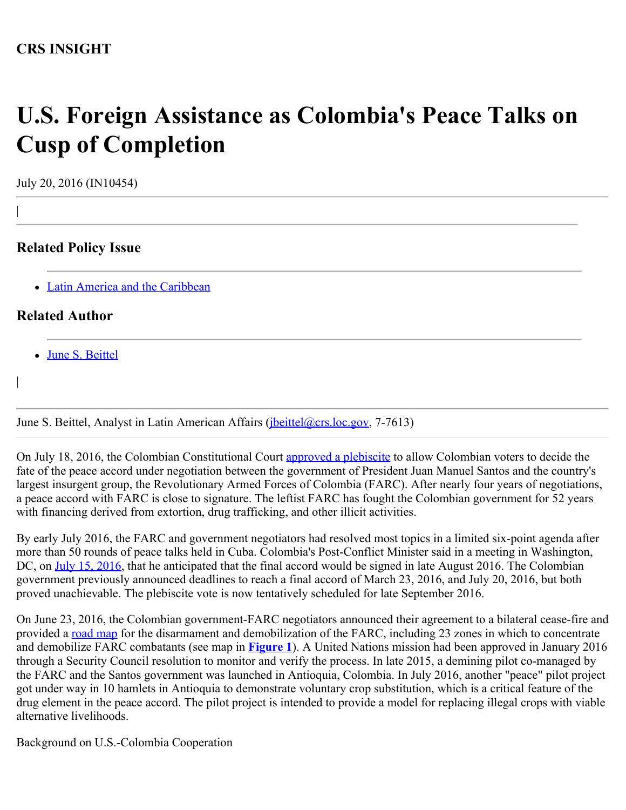# **U.S. Foreign Assistance as Colombia's Peace Talks on Cusp of Completion**

July 20, 2016 (IN10454)

|

|

# **Related Policy Issue**

• [Latin America and the Caribbean](http://www.crs.gov/Cli/SubIssue?CliId=281&ParentId=29)

## **Related Author**

[June S. Beittel](http://www.crs.gov/Author/index?id=101256)

June S. Beittel, Analyst in Latin American Affairs ([jbeittel@crs.loc.gov,](mailto:jbeittel@crs.loc.gov) 7-7613)

On July 18, 2016, the Colombian Constitutional Court [approved a plebiscite](http://www.telesurtv.net/english/news/Colombia-Constitutional-Court-Approves-Plebiscite-on-Peace-Deal-20160718-0028.html) to allow Colombian voters to decide the fate of the peace accord under negotiation between the government of President Juan Manuel Santos and the country's largest insurgent group, the Revolutionary Armed Forces of Colombia (FARC). After nearly four years of negotiations, a peace accord with FARC is close to signature. The leftist FARC has fought the Colombian government for 52 years with financing derived from extortion, drug trafficking, and other illicit activities.

By early July 2016, the FARC and government negotiators had resolved most topics in a limited six-point agenda after more than 50 rounds of peace talks held in Cuba. Colombia's Post-Conflict Minister said in a meeting in Washington, DC, on [July 15, 2016,](https://www.wilsoncenter.org/event/colombia-post-accord-challenges) that he anticipated that the final accord would be signed in late August 2016. The Colombian government previously announced deadlines to reach a final accord of March 23, 2016, and July 20, 2016, but both proved unachievable. The plebiscite vote is now tentatively scheduled for late September 2016.

On June 23, 2016, the Colombian government-FARC negotiators announced their agreement to a bilateral cease-fire and provided a [road](http://colombiapeace.org/2016/06/23/summary-of-the-farc-government-ceasefire-and-disarmament-accord/) [map](http://colombiapeace.org/2016/06/23/summary-of-the-farc-government-ceasefire-and-disarmament-accord/) for the disarmament and demobilization of the FARC, including 23 zones in which to concentrate and demobilize FARC combatants (see map in **[Figure 1](http://www.crs.gov/Reports/IN10454?source=INLanding#_Ref456706229)**). A United Nations mission had been approved in January 2016 through a Security Council resolution to monitor and verify the process. In late 2015, a demining pilot co-managed by the FARC and the Santos government was launched in Antioquia, Colombia. In July 2016, another "peace" pilot project got under way in 10 hamlets in Antioquia to demonstrate voluntary crop substitution, which is a critical feature of the drug element in the peace accord. The pilot project is intended to provide a model for replacing illegal crops with viable alternative livelihoods.

Background on U.S.-Colombia Cooperation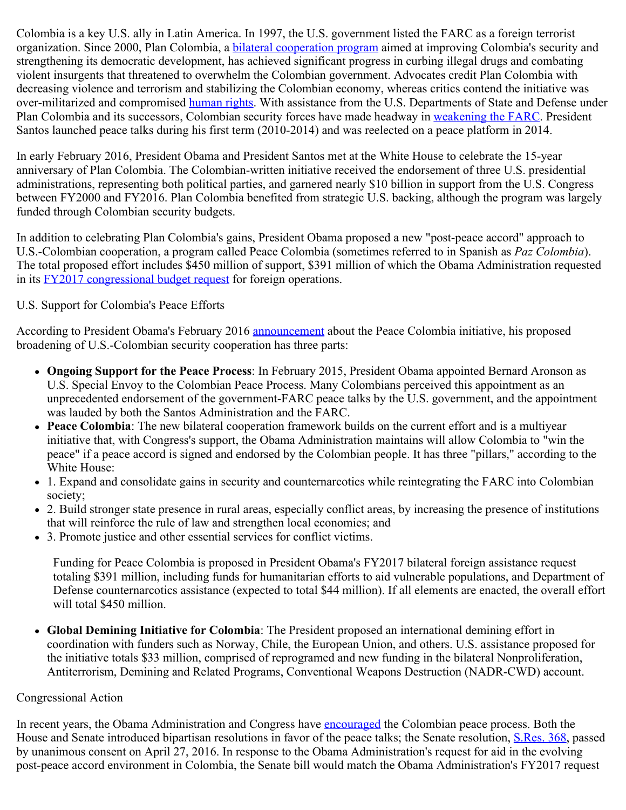Colombia is a key U.S. ally in Latin America. In 1997, the U.S. government listed the FARC as a foreign terrorist organization. Since 2000, Plan Colombia, a [bilateral cooperation program](http://bogota.usembassy.gov/plancolombia.html) aimed at improving Colombia's security and strengthening its democratic development, has achieved significant progress in curbing illegal drugs and combating violent insurgents that threatened to overwhelm the Colombian government. Advocates credit Plan Colombia with decreasing violence and terrorism and stabilizing the Colombian economy, whereas critics contend the initiative was over-militarized and compromised [human rights.](http://www.lawg.org/storage/documents/Mexico/lawgef%20cautionary%20tale%20f.pdf) With assistance from the U.S. Departments of State and Defense under Plan Colombia and its successors, Colombian security forces have made headway in [weakening the FARC](http://www.washingtonpost.com/sf/investigative/2013/12/21/covert-action-in-colombia/). President Santos launched peace talks during his first term (2010-2014) and was reelected on a peace platform in 2014.

In early February 2016, President Obama and President Santos met at the White House to celebrate the 15-year anniversary of Plan Colombia. The Colombian-written initiative received the endorsement of three U.S. presidential administrations, representing both political parties, and garnered nearly \$10 billion in support from the U.S. Congress between FY2000 and FY2016. Plan Colombia benefited from strategic U.S. backing, although the program was largely funded through Colombian security budgets.

In addition to celebrating Plan Colombia's gains, President Obama proposed a new "post-peace accord" approach to U.S.-Colombian cooperation, a program called Peace Colombia (sometimes referred to in Spanish as *Paz Colombia*). The total proposed effort includes \$450 million of support, \$391 million of which the Obama Administration requested in its [FY2017 congressional budget request](http://www.state.gov/s/d/rm/rls/statecbj/) for foreign operations.

## U.S. Support for Colombia's Peace Efforts

According to President Obama's February 2016 [announcement](https://www.whitehouse.gov/the-press-office/2016/02/04/fact-sheet-peace-colombia-new-era-partnership-between-united-states-and) about the Peace Colombia initiative, his proposed broadening of U.S.-Colombian security cooperation has three parts:

- **Ongoing Support for the Peace Process**: In February 2015, President Obama appointed Bernard Aronson as U.S. Special Envoy to the Colombian Peace Process. Many Colombians perceived this appointment as an unprecedented endorsement of the government-FARC peace talks by the U.S. government, and the appointment was lauded by both the Santos Administration and the FARC.
- **Peace Colombia**: The new bilateral cooperation framework builds on the current effort and is a multiyear initiative that, with Congress's support, the Obama Administration maintains will allow Colombia to "win the peace" if a peace accord is signed and endorsed by the Colombian people. It has three "pillars," according to the White House:
- 1. Expand and consolidate gains in security and counternarcotics while reintegrating the FARC into Colombian society;
- 2. Build stronger state presence in rural areas, especially conflict areas, by increasing the presence of institutions that will reinforce the rule of law and strengthen local economies; and
- 3. Promote justice and other essential services for conflict victims.

Funding for Peace Colombia is proposed in President Obama's FY2017 bilateral foreign assistance request totaling \$391 million, including funds for humanitarian efforts to aid vulnerable populations, and Department of Defense counternarcotics assistance (expected to total \$44 million). If all elements are enacted, the overall effort will total \$450 million.

**Global Demining Initiative for Colombia**: The President proposed an international demining effort in coordination with funders such as Norway, Chile, the European Union, and others. U.S. assistance proposed for the initiative totals \$33 million, comprised of reprogramed and new funding in the bilateral Nonproliferation, Antiterrorism, Demining and Related Programs, Conventional Weapons Destruction (NADR-CWD) account.

### Congressional Action

In recent years, the Obama Administration and Congress have [encouraged](http://www.state.gov/secretary/remarks/2016/06/259007.htm) the Colombian peace process. Both the House and Senate introduced bipartisan resolutions in favor of the peace talks; the Senate resolution, [S.Res. 368](http://www.congress.gov/cgi-lis/bdquery/z?d114:S.Res.368:), passed by unanimous consent on April 27, 2016. In response to the Obama Administration's request for aid in the evolving post-peace accord environment in Colombia, the Senate bill would match the Obama Administration's FY2017 request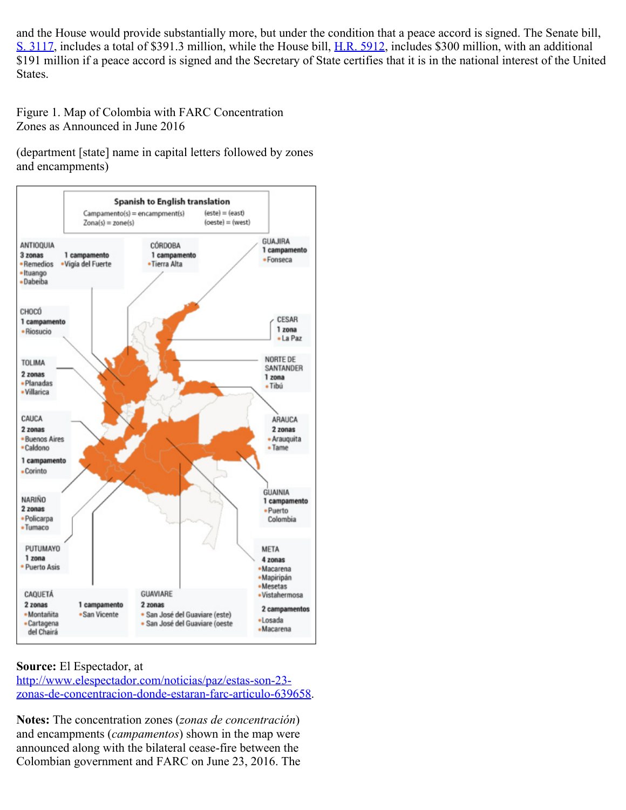and the House would provide substantially more, but under the condition that a peace accord is signed. The Senate bill, [S. 3117](http://www.congress.gov/cgi-lis/bdquery/z?d114:S.3117:), includes a total of \$391.3 million, while the House bill, [H.R. 5912,](http://www.congress.gov/cgi-lis/bdquery/z?d114:H.R.5912:) includes \$300 million, with an additional \$191 million if a peace accord is signed and the Secretary of State certifies that it is in the national interest of the United States.

Figure 1. Map of Colombia with FARC Concentration Zones as Announced in June 2016

(department [state] name in capital letters followed by zones and encampments)



### **Source:** El Espectador, at

[http://www.elespectador.com/noticias/paz/estas-son-23](http://www.elespectador.com/noticias/paz/estas-son-23-zonas-de-concentracion-donde-estaran-farc-articulo-639658) [zonas-de-concentracion-donde-estaran-farc-articulo-639658](http://www.elespectador.com/noticias/paz/estas-son-23-zonas-de-concentracion-donde-estaran-farc-articulo-639658).

**Notes:** The concentration zones (*zonas de concentración*) and encampments (*campamentos*) shown in the map were announced along with the bilateral cease-fire between the Colombian government and FARC on June 23, 2016. The